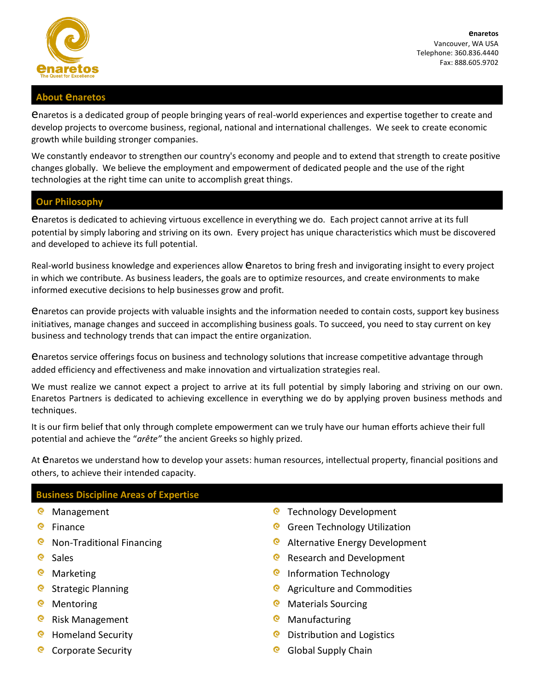

**enaretos** Vancouver, WA USA Telephone: 360.836.4440 Fax: 888.605.9702

## **About enaretos**

enaretos is a dedicated group of people bringing years of real-world experiences and expertise together to create and develop projects to overcome business, regional, national and international challenges. We seek to create economic growth while building stronger companies.

We constantly endeavor to strengthen our country's economy and people and to extend that strength to create positive changes globally. We believe the employment and empowerment of dedicated people and the use of the right technologies at the right time can unite to accomplish great things.

# **Our Philosophy**

enaretos is dedicated to achieving virtuous excellence in everything we do. Each project cannot arrive at its full potential by simply laboring and striving on its own. Every project has unique characteristics which must be discovered and developed to achieve its full potential.

Real-world business knowledge and experiences allow *enaretos to bring fresh and invigorating insight to every project* in which we contribute. As business leaders, the goals are to optimize resources, and create environments to make informed executive decisions to help businesses grow and profit.

enaretos can provide projects with valuable insights and the information needed to contain costs, support key business initiatives, manage changes and succeed in accomplishing business goals. To succeed, you need to stay current on key business and technology trends that can impact the entire organization.

enaretos service offerings focus on business and technology solutions that increase competitive advantage through added efficiency and effectiveness and make innovation and virtualization strategies real.

We must realize we cannot expect a project to arrive at its full potential by simply laboring and striving on our own. Enaretos Partners is dedicated to achieving excellence in everything we do by applying proven business methods and techniques.

It is our firm belief that only through complete empowerment can we truly have our human efforts achieve their full potential and achieve the "*arête"* the ancient Greeks so highly prized.

At *Enaretos we understand how to develop your assets: human resources, intellectual property, financial positions and* others, to achieve their intended capacity.

# **Business Discipline Areas of Expertise**

- <sup>o</sup> Management
- **e** Finance
- **C** Non-Traditional Financing
- <sup>o</sup> Sales
- <sup>@</sup> Marketing
- **Q** Strategic Planning
- <sup>@</sup> Mentoring
- **Risk Management**
- O Homeland Security
- Q Corporate Security
- **C** Technology Development
- **G** Green Technology Utilization
- **C** Alternative Energy Development
- $\bullet$ Research and Development
- **Q** Information Technology
- **Q** Agriculture and Commodities
- Materials Sourcing
- <sup>©</sup> Manufacturing
- Q. Distribution and Logistics
- Global Supply Chain